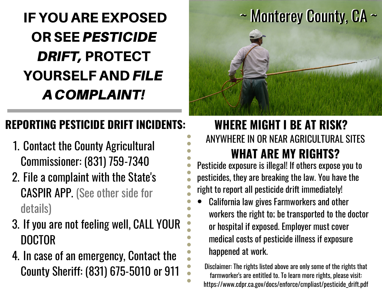# OR SEE PESTICIDE OR SEE PESTICIDE DRIFT, PROTECT DRIFT, PROTECT YOURSELF AND *FILE* ACOMPLAINT! ACOMPLAINT! IF YOU ARE EXPOSED

# **REPORTING PESTICIDE DRIFT INCIDENTS:**

- 1. Contact the County Agricultural Commissioner: (831) 759-7340
- 2. File a complaint with the State's CASPIR APP. (See other side for details)
- If you are not feeling well, CALL YOUR 3. DOCTOR
- 4. In case of an emergency, Contact the County Sheriff: (831) 675-5010 or 911



### ANYWHERE IN OR NEAR AGRICULTURAL SITES **WHERE MIGHT I BE AT RISK? WHAT ARE MY RIGHTS?**

Pesticide exposure is illegal! If others expose you to pesticides, they are breaking the law. You have the right to report all pesticide drift immediately!

California law gives Farmworkers and other workers the right to; be transported to the doctor or hospital if exposed. Employer must cover medical costs of pesticide illness if exposure happened at work.

Disclaimer: The rights listed above are only some of the rights that farmworker's are entitled to. To learn more rights, please visit: https://www.cdpr.ca.gov/docs/enforce/cmpliast/pesticide\_drift.pdf